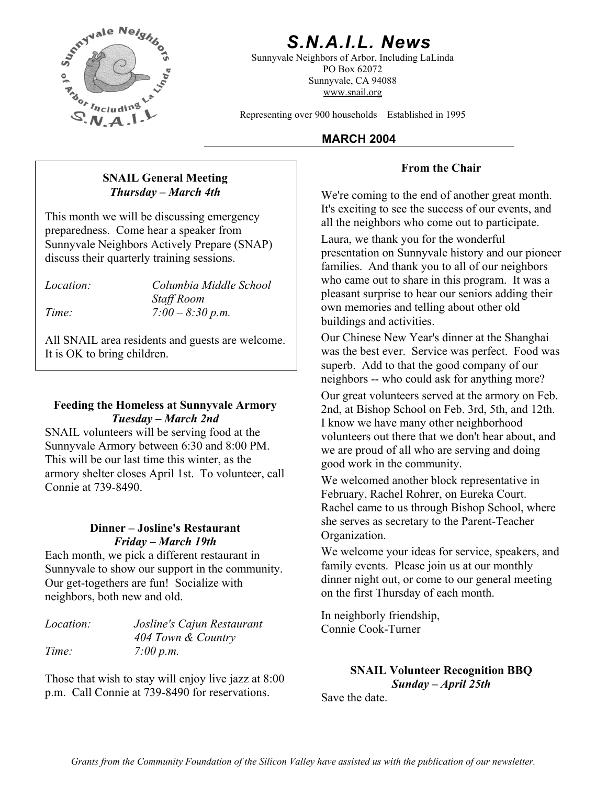

# *S.N.A.I.L. News*

Sunnyvale Neighbors of Arbor, Including LaLinda PO Box 62072 Sunnyvale, CA 94088 www.snail.org

Representing over 900 households Established in 1995

### **MARCH 2004**

#### **From the Chair**

**Thursday – March 4th** We're coming to the end of another great month. It's exciting to see the success of our events, and

> Laura, we thank you for the wonderful presentation on Sunnyvale history and our pioneer families. And thank you to all of our neighbors who came out to share in this program. It was a pleasant surprise to hear our seniors adding their own memories and telling about other old buildings and activities.

> Our Chinese New Year's dinner at the Shanghai was the best ever. Service was perfect. Food was superb. Add to that the good company of our neighbors -- who could ask for anything more?

> Our great volunteers served at the armory on Feb. 2nd, at Bishop School on Feb. 3rd, 5th, and 12th. I know we have many other neighborhood volunteers out there that we don't hear about, and we are proud of all who are serving and doing good work in the community.

> We welcomed another block representative in February, Rachel Rohrer, on Eureka Court. Rachel came to us through Bishop School, where she serves as secretary to the Parent-Teacher

We welcome your ideas for service, speakers, and family events. Please join us at our monthly dinner night out, or come to our general meeting on the first Thursday of each month.

In neighborly friendship, *Location: Josline's Cajun Restaurant* Connie Cook-Turner

**SNAIL Volunteer Recognition BBQ**<br>Sunday - April 25th

Save the date.

**SNAIL General Meeting** 

This month we will be discussing emergency all the neighbors who come out to participate. preparedness. Come hear a speaker from Sunnyvale Neighbors Actively Prepare (SNAP) discuss their quarterly training sessions.

*Location: Columbia Middle School Staff Room Time: 7:00 – 8:30 p.m.* 

All SNAIL area residents and guests are welcome. It is OK to bring children.

#### **Feeding the Homeless at Sunnyvale Armory**  *Tuesday – March 2nd*

SNAIL volunteers will be serving food at the Sunnyvale Armory between 6:30 and 8:00 PM. This will be our last time this winter, as the armory shelter closes April 1st. To volunteer, call

# **Dinner – Josline's Restaurant** Site serves as a property of the *Friday – March 19th*

Each month, we pick a different restaurant in Sunnyvale to show our support in the community. Our get-togethers are fun! Socialize with neighbors, both new and old.

| <i>Location:</i> | Josline's Cajun Restaurant |
|------------------|----------------------------|
|                  | 404 Town & Country         |
| Time:            | 7:00 p.m.                  |

p.m. Call Connie at 739-8490 for reservations.